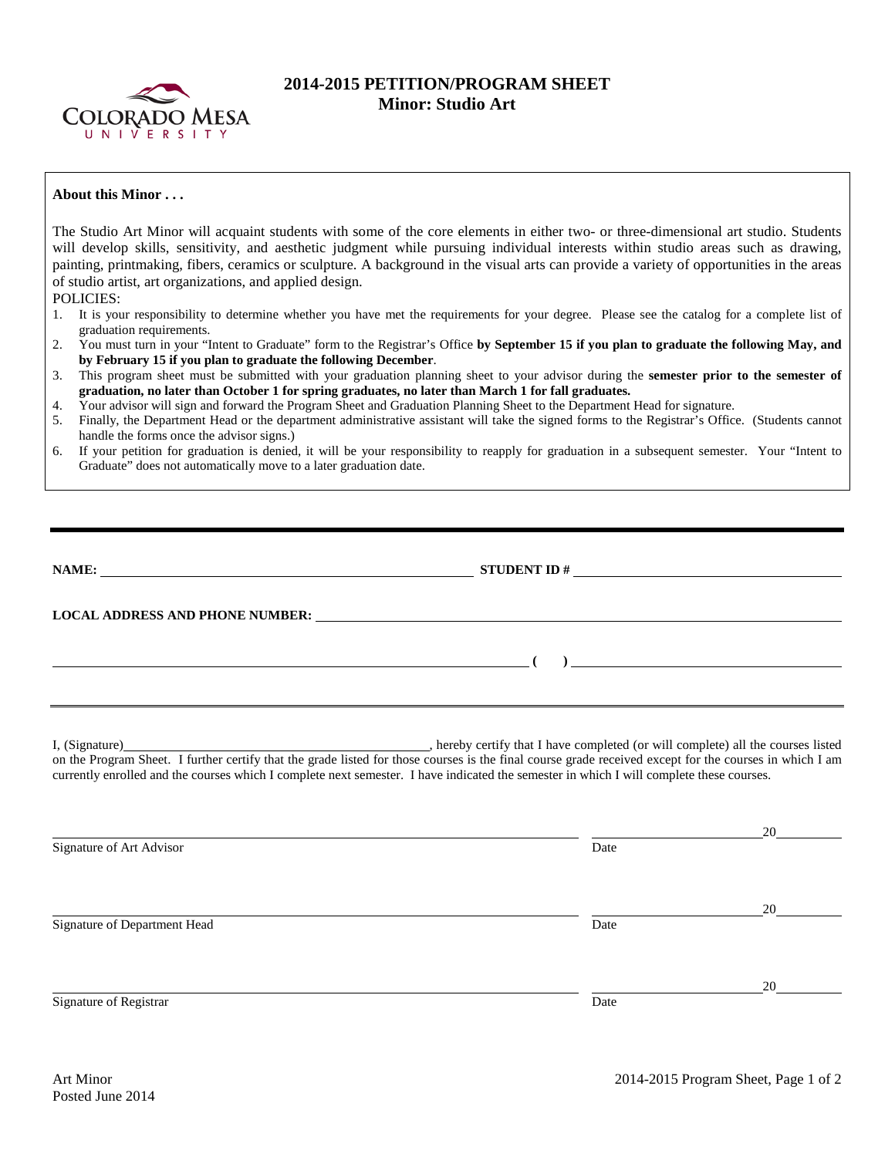

## **2014-2015 PETITION/PROGRAM SHEET Minor: Studio Art**

## **About this Minor . . .**

The Studio Art Minor will acquaint students with some of the core elements in either two- or three-dimensional art studio. Students will develop skills, sensitivity, and aesthetic judgment while pursuing individual interests within studio areas such as drawing, painting, printmaking, fibers, ceramics or sculpture. A background in the visual arts can provide a variety of opportunities in the areas of studio artist, art organizations, and applied design.

POLICIES:

- 1. It is your responsibility to determine whether you have met the requirements for your degree. Please see the catalog for a complete list of graduation requirements.
- 2. You must turn in your "Intent to Graduate" form to the Registrar's Office **by September 15 if you plan to graduate the following May, and by February 15 if you plan to graduate the following December**.
- 3. This program sheet must be submitted with your graduation planning sheet to your advisor during the **semester prior to the semester of graduation, no later than October 1 for spring graduates, no later than March 1 for fall graduates.**
- 4. Your advisor will sign and forward the Program Sheet and Graduation Planning Sheet to the Department Head for signature.
- 5. Finally, the Department Head or the department administrative assistant will take the signed forms to the Registrar's Office. (Students cannot handle the forms once the advisor signs.)
- 6. If your petition for graduation is denied, it will be your responsibility to reapply for graduation in a subsequent semester. Your "Intent to Graduate" does not automatically move to a later graduation date.

| NAME:                                                     |                                                                                                                                                                                                                                                                                                                                                                               |    |  |
|-----------------------------------------------------------|-------------------------------------------------------------------------------------------------------------------------------------------------------------------------------------------------------------------------------------------------------------------------------------------------------------------------------------------------------------------------------|----|--|
|                                                           |                                                                                                                                                                                                                                                                                                                                                                               |    |  |
| <u> 1989 - Johann Barnett, fransk politiker (d. 1989)</u> |                                                                                                                                                                                                                                                                                                                                                                               |    |  |
|                                                           | I, (Signature) (Signature) (Signature) (Signature) (Signature) (Signature) (Signature) all the courses listed<br>on the Program Sheet. I further certify that the grade listed for those courses is the final course grade receiv<br>currently enrolled and the courses which I complete next semester. I have indicated the semester in which I will complete these courses. |    |  |
| Signature of Art Advisor                                  | Date                                                                                                                                                                                                                                                                                                                                                                          |    |  |
| Signature of Department Head                              | Date                                                                                                                                                                                                                                                                                                                                                                          | 20 |  |
| Signature of Registrar                                    | Date                                                                                                                                                                                                                                                                                                                                                                          | 20 |  |